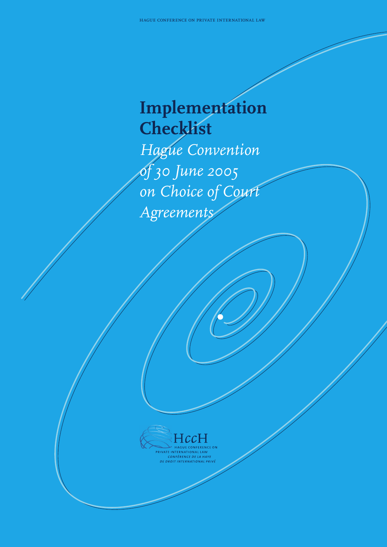### **Implementation Checklist** *Hague Convention of 30 June 2005 on Choice of Court Agreements*



PRIVATE INTERNATIONAL LAW<br>CONFÉRENCE DE LA HAYE<br>DE DROIT INTERNATIONAL PR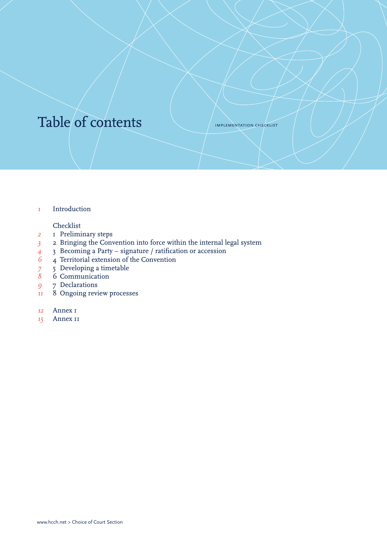### Table of contents

implementation checklist

*1* [Introduction](#page-2-0)

#### Checklist

- *2* [1 Preliminary steps](#page-3-0)
- *3* [2 Bringing the Convention into force within the internal legal system](#page-4-0)
- <sup>4</sup> [3 Becoming a Party signature / ratification or accession](#page-5-0)<br>
<sup>6</sup> 4 Territorial extension of the Convention
- *6* [4 Territorial extension of the Convention](#page-7-0)<br> *7* 5 Developing a timetable<br> *8* 6 Communication
- <sup>7</sup> Developing a timetable
- *8* [6 Communication](#page-9-0)
- *9* [7 Declarations](#page-10-0)
- *11* [8 Ongoing review processes](#page-12-0)
- *12* [Annex 1](#page-13-0)
- *15* [Annex 11](#page-16-0)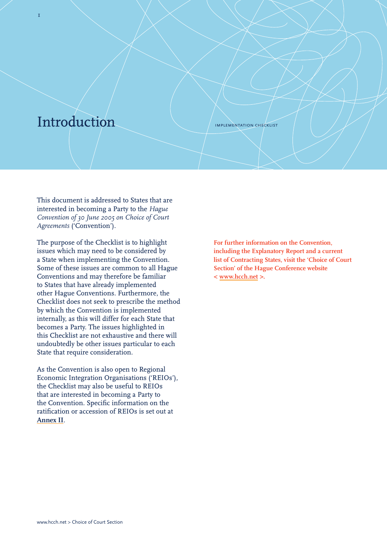### <span id="page-2-0"></span>Introduction

1

implementation checklist

This document is addressed to States that are interested in becoming a Party to the *Hague Convention of 30 June 2005 on Choice of Court Agreements* ('Convention').

The purpose of the Checklist is to highlight issues which may need to be considered by a State when implementing the Convention. Some of these issues are common to all Hague Conventions and may therefore be familiar to States that have already implemented other Hague Conventions. Furthermore, the Checklist does not seek to prescribe the method by which the Convention is implemented internally, as this will differ for each State that becomes a Party. The issues highlighted in this Checklist are not exhaustive and there will undoubtedly be other issues particular to each State that require consideration.

As the Convention is also open to Regional Economic Integration Organisations ('REIOs'), the Checklist may also be useful to REIOs that are interested in becoming a Party to the Convention. Specific information on the ratification or accession of REIOs is set out at **[Annex II](#page-16-0)**.

**For further information on the Convention, including the Explanatory Report and a current list of Contracting States, visit the 'Choice of Court Section' of the Hague Conference website < <www.hcch.net>>.**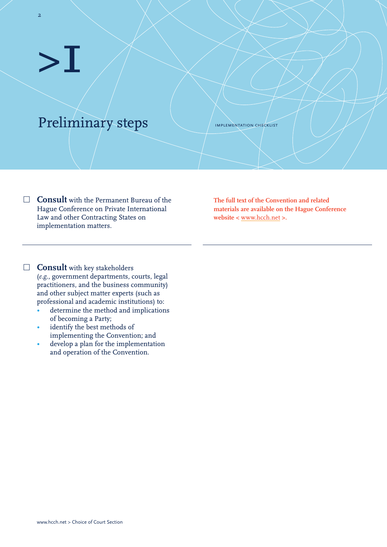2

### <span id="page-3-0"></span>Preliminary steps

implementation checklist

**Consult** with the Permanent Bureau of the **∏** Hague Conference on Private International Law and other Contracting States on implementation matters.

**The full text of the Convention and related materials are available on the Hague Conference website <** <www.hcch.net> **>.**

**Consult** with key stakeholders **∏**(*e.g*., government departments, courts, legal practitioners, and the business community) and other subject matter experts (such as professional and academic institutions) to:

- determine the method and implications of becoming a Party;
- identify the best methods of implementing the Convention; and
- develop a plan for the implementation and operation of the Convention.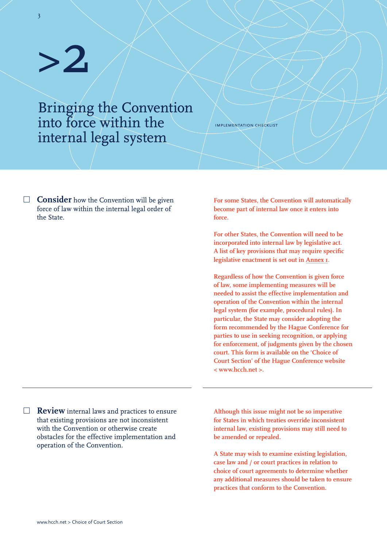3

<span id="page-4-0"></span>Bringing the Convention into force within the internal legal system

**Consider** how the Convention will be given **∏** force of law within the internal legal order of the State.

**For some States, the Convention will automatically become part of internal law once it enters into force.** 

implementation checklist

**For other States, the Convention will need to be incorporated into internal law by legislative act. A list of key provisions that may require specific legislative enactment is set out in [Annex 1](#page-13-0)**.

**Regardless of how the Convention is given force of law, some implementing measures will be needed to assist the effective implementation and operation of the Convention within the internal legal system (for example, procedural rules). In particular, the State may consider adopting the form recommended by the Hague Conference for parties to use in seeking recognition, or applying for enforcement, of judgments given by the chosen court. This form is available on the 'Choice of Court Section' of the Hague Conference website < www.hcch.net >.**

**Review** internal laws and practices to ensure **∏** that existing provisions are not inconsistent with the Convention or otherwise create obstacles for the effective implementation and operation of the Convention.

**Although this issue might not be so imperative for States in which treaties override inconsistent internal law, existing provisions may still need to be amended or repealed.**

**A State may wish to examine existing legislation, case law and / or court practices in relation to choice of court agreements to determine whether any additional measures should be taken to ensure practices that conform to the Convention.**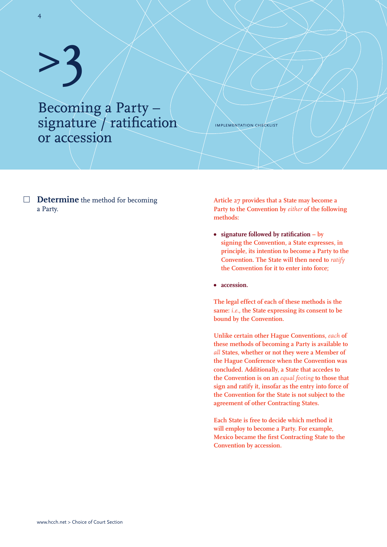4

<span id="page-5-0"></span>Becoming a Party – signature / ratification or accession

implementation checklist

**Determine** the method for becoming **∏ Article 27 provides that a State may become a**  a Party.

**Party to the Convention by** *either* **of the following methods:**

- **• signature followed by ratification by signing the Convention, a State expresses, in principle, its intention to become a Party to the Convention. The State will then need to** *ratify* **the Convention for it to enter into force;**
- **• accession.**

**The legal effect of each of these methods is the same:** *i.e.***, the State expressing its consent to be bound by the Convention.**

**Unlike certain other Hague Conventions,** *each* **of these methods of becoming a Party is available to**  *all* **States, whether or not they were a Member of the Hague Conference when the Convention was concluded. Additionally, a State that accedes to the Convention is on an** *equal footing* **to those that sign and ratify it, insofar as the entry into force of the Convention for the State is not subject to the agreement of other Contracting States.**

**Each State is free to decide which method it will employ to become a Party. For example, Mexico became the first Contracting State to the Convention by accession.**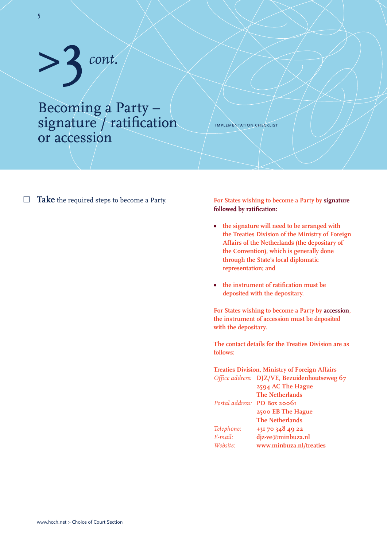## >3*cont.*

#### Becoming a Party – signature / ratification or accession

implementation checklist

**∏ Take** the required steps to become a Party. **For States wishing to become a Party by signature** 

### **followed by ratification:**

- **• the signature will need to be arranged with the Treaties Division of the Ministry of Foreign Affairs of the Netherlands (the depositary of the Convention), which is generally done through the State's local diplomatic representation; and**
- **• the instrument of ratification must be deposited with the depositary.**

**For States wishing to become a Party by accession, the instrument of accession must be deposited with the depositary.**

**The contact details for the Treaties Division are as follows:** 

#### **Treaties Division, Ministry of Foreign Affairs** *Office address:* **DJZ/VE, Bezuidenhoutseweg 67 2594 AC The Hague The Netherlands** *Postal address:* **PO Box 20061 2500 EB The Hague The Netherlands** *Telephone:* **+31 70 348 49 22** *E-mail:* **djz-ve@minbuza.nl** *Website:* **www.minbuza.nl/treaties**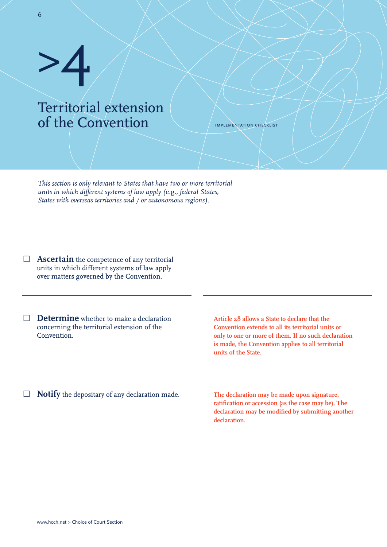#### <span id="page-7-0"></span>Territorial extension of the Convention

implementation checklist

*This section is only relevant to States that have two or more territorial units in which different systems of law apply (*e.g.*, federal States, States with overseas territories and / or autonomous regions).*

**Ascertain** the competence of any territorial **∏** units in which different systems of law apply over matters governed by the Convention.

**Determine** whether to make a declaration **∏** concerning the territorial extension of the Convention.

**Article 28 allows a State to declare that the Convention extends to all its territorial units or only to one or more of them. If no such declaration is made, the Convention applies to all territorial units of the State.**

**Notify** the depositary of any declaration made. **∏**

**The declaration may be made upon signature, ratification or accession (as the case may be). The declaration may be modified by submitting another declaration.**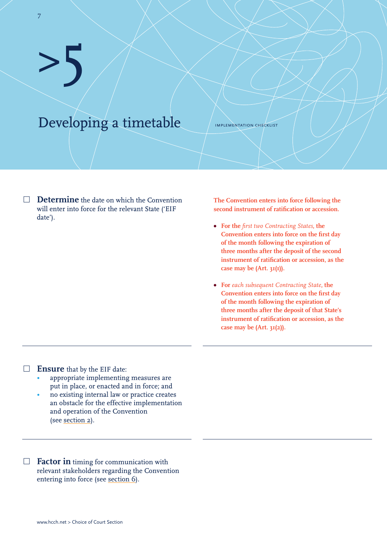<span id="page-8-0"></span>Developing a timetable

implementation checklist

**∏ Determine** the date on which the Convention will enter into force for the relevant State ('EIF date').

**The Convention enters into force following the second instrument of ratification or accession.** 

- **• For the** *first two Contracting States***, the Convention enters into force on the first day of the month following the expiration of three months after the deposit of the second instrument of ratification or accession, as the case may be (Art. 31(1)).**
- **• For** *each subsequent Contracting State***, the Convention enters into force on the first day of the month following the expiration of three months after the deposit of that State's instrument of ratification or accession, as the case may be (Art. 31(2)).**

**∏ Ensure** that by the EIF date:

- appropriate implementing measures are put in place, or enacted and in force; and
- no existing internal law or practice creates an obstacle for the effective implementation and operation of the Convention (see [section 2](#page-4-0)).

**∏ Factor in** timing for communication with relevant stakeholders regarding the Convention entering into force (see [section 6](#page-9-0)).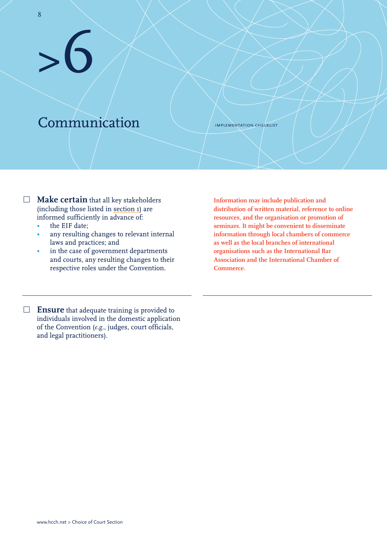### <span id="page-9-0"></span>Communication

>6

implementation checklist

- **∏ Make certain** that all key stakeholders (including those listed in [section 1](#page-3-0)) are informed sufficiently in advance of:
	- the EIF date:
	- any resulting changes to relevant internal laws and practices; and
	- in the case of government departments and courts, any resulting changes to their respective roles under the Convention.

**Information may include publication and distribution of written material, reference to online resources, and the organisation or promotion of seminars. It might be convenient to disseminate information through local chambers of commerce as well as the local branches of international organisations such as the International Bar Association and the International Chamber of Commerce.** 

**∏ Ensure** that adequate training is provided to individuals involved in the domestic application of the Convention (*e.g.*, judges, court officials, and legal practitioners).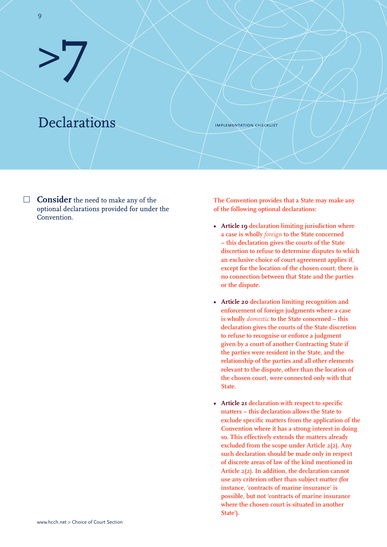### <span id="page-10-0"></span>Declarations

>7

implementation checklist

**∏ The Convention provides that a State may make any Consider** the need to make any of the optional declarations provided for under the Convention.

**of the following optional declarations:**

- **• Article 19 declaration limiting jurisdiction where a case is wholly** *foreign* **to the State concerned – this declaration gives the courts of the State discretion to refuse to determine disputes to which an exclusive choice of court agreement applies if, except for the location of the chosen court, there is no connection between that State and the parties or the dispute.**
- **• Article 20 declaration limiting recognition and enforcement of foreign judgments where a case is wholly** *domestic* **to the State concerned – this declaration gives the courts of the State discretion to refuse to recognise or enforce a judgment given by a court of another Contracting State if the parties were resident in the State, and the relationship of the parties and all other elements relevant to the dispute, other than the location of the chosen court, were connected only with that State.**
- **• Article 21 declaration with respect to specific matters – this declaration allows the State to exclude specific matters from the application of the Convention where it has a strong interest in doing so. This effectively extends the matters already excluded from the scope under Article 2(2). Any such declaration should be made only in respect of discrete areas of law of the kind mentioned in Article 2(2). In addition, the declaration cannot use any criterion other than subject matter (for instance, 'contracts of marine insurance' is possible, but not 'contracts of marine insurance where the chosen court is situated in another State').**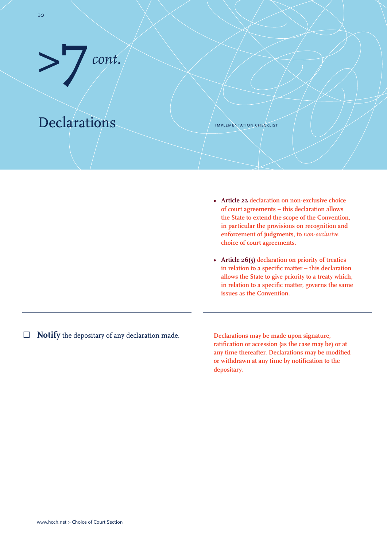

>7 *cont.*

implementation checklist

- **• Article 22 declaration on non-exclusive choice of court agreements – this declaration allows the State to extend the scope of the Convention, in particular the provisions on recognition and enforcement of judgments, to** *non-exclusive* **choice of court agreements.**
- **• Article 26(5) declaration on priority of treaties in relation to a specific matter – this declaration allows the State to give priority to a treaty which, in relation to a specific matter, governs the same issues as the Convention.**
- **∏ Notify** the depositary of any declaration made.

**Declarations may be made upon signature, ratification or accession (as the case may be) or at any time thereafter. Declarations may be modified or withdrawn at any time by notification to the depositary.**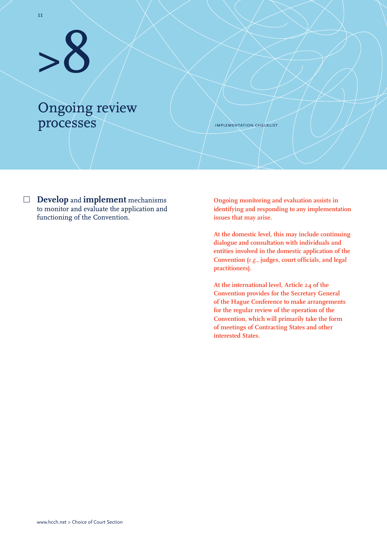### <span id="page-12-0"></span>Ongoing review processes

implementation checklist

**∏ Ongoing monitoring and evaluation assists in Develop** and **implement** mechanisms to monitor and evaluate the application and functioning of the Convention.

**identifying and responding to any implementation issues that may arise.** 

**At the domestic level, this may include continuing dialogue and consultation with individuals and entities involved in the domestic application of the Convention (***e.g.***, judges, court officials, and legal practitioners).**

**At the international level, Article 24 of the Convention provides for the Secretary General of the Hague Conference to make arrangements for the regular review of the operation of the Convention, which will primarily take the form of meetings of Contracting States and other interested States.**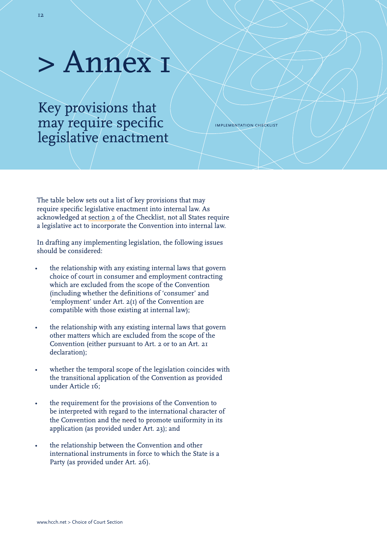### <span id="page-13-0"></span>> Annex 1

Key provisions that may require specific legislative enactment

implementation checklist

The table below sets out a list of key provisions that may require specific legislative enactment into internal law. As acknowledged at [section 2](#page-4-0) of the Checklist, not all States require a legislative act to incorporate the Convention into internal law.

In drafting any implementing legislation, the following issues should be considered:

- the relationship with any existing internal laws that govern choice of court in consumer and employment contracting which are excluded from the scope of the Convention (including whether the definitions of 'consumer' and 'employment' under Art. 2(1) of the Convention are compatible with those existing at internal law);
- the relationship with any existing internal laws that govern other matters which are excluded from the scope of the Convention (either pursuant to Art. 2 or to an Art. 21 declaration);
- whether the temporal scope of the legislation coincides with the transitional application of the Convention as provided under Article 16;
- the requirement for the provisions of the Convention to be interpreted with regard to the international character of the Convention and the need to promote uniformity in its application (as provided under Art. 23); and
- the relationship between the Convention and other international instruments in force to which the State is a Party (as provided under Art. 26).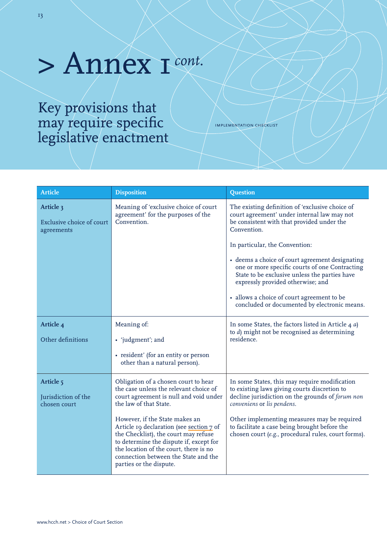### > Annex 1*cont.*

Key provisions that may require specific legislative enactment

implementation checklist

| Article                                                     | <b>Disposition</b>                                                                                                                                                                                                                                                                                                                                                                                                               | Question                                                                                                                                                                                                                                                                                                                                                                                                                                                                               |
|-------------------------------------------------------------|----------------------------------------------------------------------------------------------------------------------------------------------------------------------------------------------------------------------------------------------------------------------------------------------------------------------------------------------------------------------------------------------------------------------------------|----------------------------------------------------------------------------------------------------------------------------------------------------------------------------------------------------------------------------------------------------------------------------------------------------------------------------------------------------------------------------------------------------------------------------------------------------------------------------------------|
| Article 3<br><b>Exclusive choice of court</b><br>agreements | Meaning of 'exclusive choice of court<br>agreement' for the purposes of the<br>Convention.                                                                                                                                                                                                                                                                                                                                       | The existing definition of 'exclusive choice of<br>court agreement' under internal law may not<br>be consistent with that provided under the<br>Convention.<br>In particular, the Convention:<br>• deems a choice of court agreement designating<br>one or more specific courts of one Contracting<br>State to be exclusive unless the parties have<br>expressly provided otherwise; and<br>• allows a choice of court agreement to be<br>concluded or documented by electronic means. |
| Article 4<br>Other definitions                              | Meaning of:<br>• 'judgment'; and<br>• resident' (for an entity or person<br>other than a natural person).                                                                                                                                                                                                                                                                                                                        | In some States, the factors listed in Article 4 $a$ )<br>to d) might not be recognised as determining<br>residence.                                                                                                                                                                                                                                                                                                                                                                    |
| Article <sub>5</sub><br>Jurisdiction of the<br>chosen court | Obligation of a chosen court to hear<br>the case unless the relevant choice of<br>court agreement is null and void under<br>the law of that State.<br>However, if the State makes an<br>Article 19 declaration (see section 7 of<br>the Checklist), the court may refuse<br>to determine the dispute if, except for<br>the location of the court, there is no<br>connection between the State and the<br>parties or the dispute. | In some States, this may require modification<br>to existing laws giving courts discretion to<br>decline jurisdiction on the grounds of forum non<br>conveniens or lis pendens.<br>Other implementing measures may be required<br>to facilitate a case being brought before the<br>chosen court (e.g., procedural rules, court forms).                                                                                                                                                 |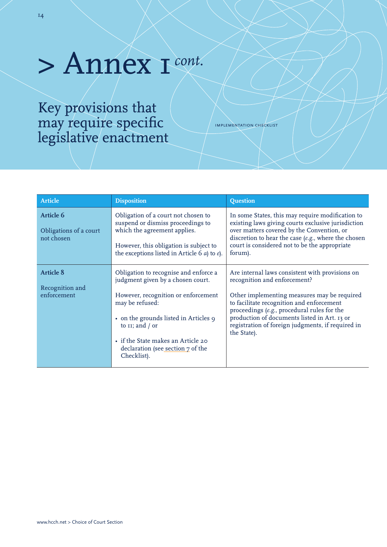### > Annex 1*cont.*

Key provisions that may require specific legislative enactment

implementation checklist

| <b>Article</b>                                           | <b>Disposition</b>                                                                                                                                                                                                                                                                            | <b>Question</b>                                                                                                                                                                                                                                                                                                                                |
|----------------------------------------------------------|-----------------------------------------------------------------------------------------------------------------------------------------------------------------------------------------------------------------------------------------------------------------------------------------------|------------------------------------------------------------------------------------------------------------------------------------------------------------------------------------------------------------------------------------------------------------------------------------------------------------------------------------------------|
| <b>Article 6</b><br>Obligations of a court<br>not chosen | Obligation of a court not chosen to<br>suspend or dismiss proceedings to<br>which the agreement applies.<br>However, this obligation is subject to<br>the exceptions listed in Article 6 $a$ ) to $e$ ).                                                                                      | In some States, this may require modification to<br>existing laws giving courts exclusive jurisdiction<br>over matters covered by the Convention, or<br>discretion to hear the case (e.g., where the chosen<br>court is considered not to be the appropriate<br>forum).                                                                        |
| <b>Article 8</b><br>Recognition and<br>enforcement       | Obligation to recognise and enforce a<br>judgment given by a chosen court.<br>However, recognition or enforcement<br>may be refused:<br>• on the grounds listed in Articles 9<br>to $II$ ; and / or<br>• if the State makes an Article 20<br>declaration (see section 7 of the<br>Checklist). | Are internal laws consistent with provisions on<br>recognition and enforcement?<br>Other implementing measures may be required<br>to facilitate recognition and enforcement<br>proceedings (e.g., procedural rules for the<br>production of documents listed in Art. 13 or<br>registration of foreign judgments, if required in<br>the State). |